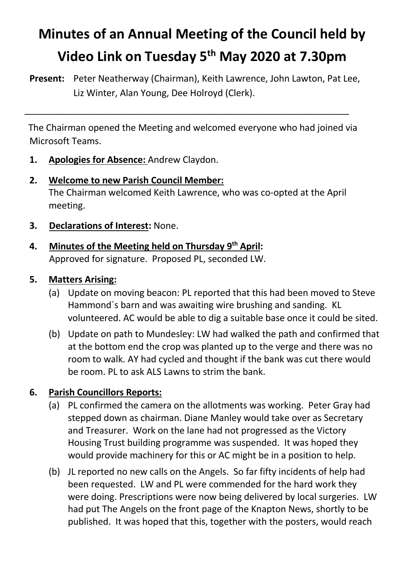# **Minutes of an Annual Meeting of the Council held by Video Link on Tuesday 5th May 2020 at 7.30pm**

**Present:** Peter Neatherway (Chairman), Keith Lawrence, John Lawton, Pat Lee, Liz Winter, Alan Young, Dee Holroyd (Clerk).

 The Chairman opened the Meeting and welcomed everyone who had joined via Microsoft Teams.

\_\_\_\_\_\_\_\_\_\_\_\_\_\_\_\_\_\_\_\_\_\_\_\_\_\_\_\_\_\_\_\_\_\_\_\_\_\_\_\_\_\_\_\_\_\_\_\_\_\_\_\_\_\_\_\_\_\_\_\_\_\_\_\_

- **1. Apologies for Absence:** Andrew Claydon.
- **2. Welcome to new Parish Council Member:** The Chairman welcomed Keith Lawrence, who was co-opted at the April meeting.
- **3. Declarations of Interest:** None.
- **4. Minutes of the Meeting held on Thursday 9th April:** Approved for signature. Proposed PL, seconded LW.

#### **5. Matters Arising:**

- (a) Update on moving beacon: PL reported that this had been moved to Steve Hammond`s barn and was awaiting wire brushing and sanding. KL volunteered. AC would be able to dig a suitable base once it could be sited.
- (b) Update on path to Mundesley: LW had walked the path and confirmed that at the bottom end the crop was planted up to the verge and there was no room to walk. AY had cycled and thought if the bank was cut there would be room. PL to ask ALS Lawns to strim the bank.

# **6. Parish Councillors Reports:**

- (a) PL confirmed the camera on the allotments was working. Peter Gray had stepped down as chairman. Diane Manley would take over as Secretary and Treasurer. Work on the lane had not progressed as the Victory Housing Trust building programme was suspended. It was hoped they would provide machinery for this or AC might be in a position to help.
- (b) JL reported no new calls on the Angels. So far fifty incidents of help had been requested. LW and PL were commended for the hard work they were doing. Prescriptions were now being delivered by local surgeries. LW had put The Angels on the front page of the Knapton News, shortly to be published. It was hoped that this, together with the posters, would reach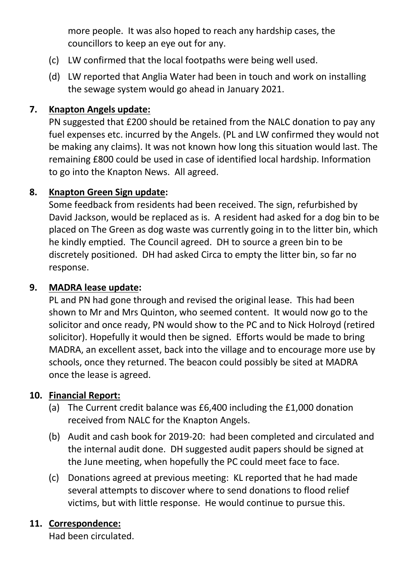more people. It was also hoped to reach any hardship cases, the councillors to keep an eye out for any.

- (c) LW confirmed that the local footpaths were being well used.
- (d) LW reported that Anglia Water had been in touch and work on installing the sewage system would go ahead in January 2021.

#### **7. Knapton Angels update:**

PN suggested that £200 should be retained from the NALC donation to pay any fuel expenses etc. incurred by the Angels. (PL and LW confirmed they would not be making any claims). It was not known how long this situation would last. The remaining £800 could be used in case of identified local hardship. Information to go into the Knapton News. All agreed.

### **8. Knapton Green Sign update:**

Some feedback from residents had been received. The sign, refurbished by David Jackson, would be replaced as is. A resident had asked for a dog bin to be placed on The Green as dog waste was currently going in to the litter bin, which he kindly emptied. The Council agreed. DH to source a green bin to be discretely positioned. DH had asked Circa to empty the litter bin, so far no response.

#### **9. MADRA lease update:**

PL and PN had gone through and revised the original lease. This had been shown to Mr and Mrs Quinton, who seemed content. It would now go to the solicitor and once ready, PN would show to the PC and to Nick Holroyd (retired solicitor). Hopefully it would then be signed. Efforts would be made to bring MADRA, an excellent asset, back into the village and to encourage more use by schools, once they returned. The beacon could possibly be sited at MADRA once the lease is agreed.

## **10. Financial Report:**

- (a) The Current credit balance was £6,400 including the £1,000 donation received from NALC for the Knapton Angels.
- (b) Audit and cash book for 2019-20: had been completed and circulated and the internal audit done. DH suggested audit papers should be signed at the June meeting, when hopefully the PC could meet face to face.
- (c) Donations agreed at previous meeting: KL reported that he had made several attempts to discover where to send donations to flood relief victims, but with little response. He would continue to pursue this.

## **11. Correspondence:**

Had been circulated.